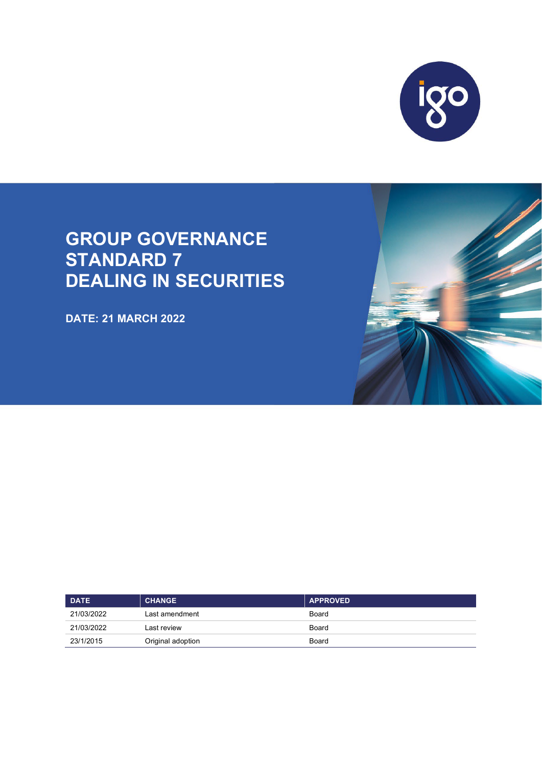

# **GROUP GOVERNANCE STANDARD 7 DEALING IN SECURITIES**

**DATE: 21 MARCH 2022**

| <b>DATE</b> | <b>CHANGE</b>     | <b>APPROVED</b> |
|-------------|-------------------|-----------------|
| 21/03/2022  | Last amendment    | Board           |
| 21/03/2022  | Last review       | Board           |
| 23/1/2015   | Original adoption | Board           |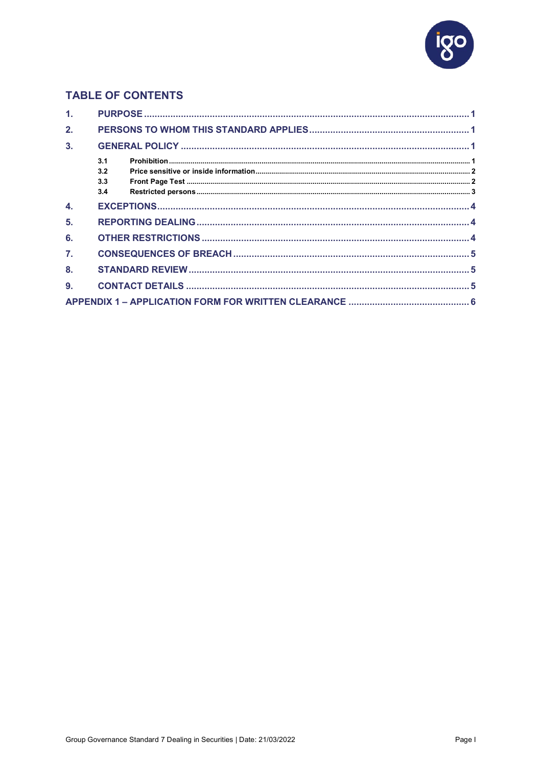

# **TABLE OF CONTENTS**

| 1 <sub>1</sub> |     |  |
|----------------|-----|--|
| 2.             |     |  |
| 3.             |     |  |
|                | 3.1 |  |
|                | 3.2 |  |
|                | 3.3 |  |
|                | 3.4 |  |
| 4.             |     |  |
| 5.             |     |  |
| 6.             |     |  |
| 7.             |     |  |
| 8.             |     |  |
| 9.             |     |  |
|                |     |  |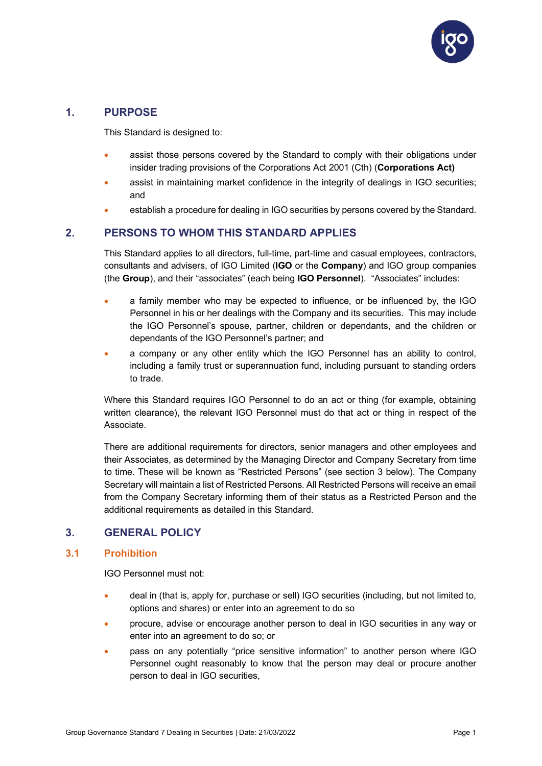

# <span id="page-2-0"></span>**1. PURPOSE**

This Standard is designed to:

- assist those persons covered by the Standard to comply with their obligations under insider trading provisions of the Corporations Act 2001 (Cth) (**Corporations Act)**
- assist in maintaining market confidence in the integrity of dealings in IGO securities; and
- establish a procedure for dealing in IGO securities by persons covered by the Standard.

# <span id="page-2-1"></span>**2. PERSONS TO WHOM THIS STANDARD APPLIES**

This Standard applies to all directors, full-time, part-time and casual employees, contractors, consultants and advisers, of IGO Limited (**IGO** or the **Company**) and IGO group companies (the **Group**), and their "associates" (each being **IGO Personnel**). "Associates" includes:

- a family member who may be expected to influence, or be influenced by, the IGO Personnel in his or her dealings with the Company and its securities. This may include the IGO Personnel's spouse, partner, children or dependants, and the children or dependants of the IGO Personnel's partner; and
- a company or any other entity which the IGO Personnel has an ability to control, including a family trust or superannuation fund, including pursuant to standing orders to trade.

Where this Standard requires IGO Personnel to do an act or thing (for example, obtaining written clearance), the relevant IGO Personnel must do that act or thing in respect of the Associate.

There are additional requirements for directors, senior managers and other employees and their Associates, as determined by the Managing Director and Company Secretary from time to time. These will be known as "Restricted Persons" (see section 3 below). The Company Secretary will maintain a list of Restricted Persons. All Restricted Persons will receive an email from the Company Secretary informing them of their status as a Restricted Person and the additional requirements as detailed in this Standard.

# <span id="page-2-2"></span>**3. GENERAL POLICY**

## <span id="page-2-3"></span>**3.1 Prohibition**

IGO Personnel must not:

- deal in (that is, apply for, purchase or sell) IGO securities (including, but not limited to, options and shares) or enter into an agreement to do so
- procure, advise or encourage another person to deal in IGO securities in any way or enter into an agreement to do so; or
- pass on any potentially "price sensitive information" to another person where IGO Personnel ought reasonably to know that the person may deal or procure another person to deal in IGO securities,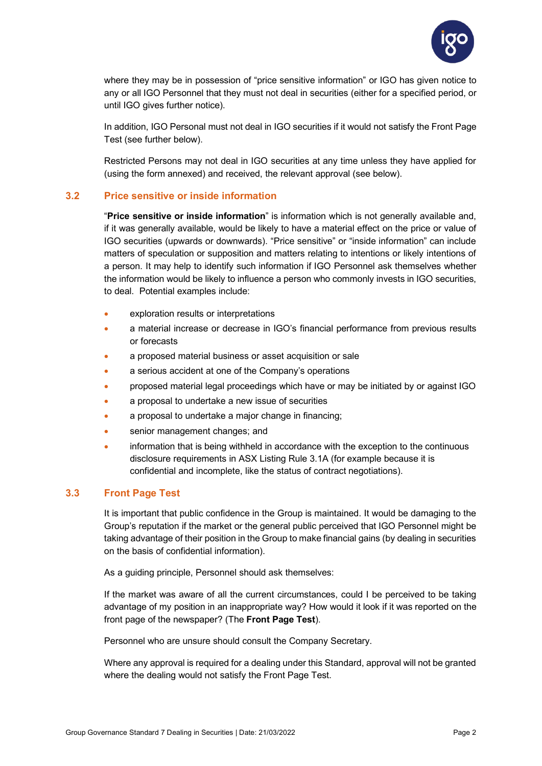

where they may be in possession of "price sensitive information" or IGO has given notice to any or all IGO Personnel that they must not deal in securities (either for a specified period, or until IGO gives further notice).

In addition, IGO Personal must not deal in IGO securities if it would not satisfy the Front Page Test (see further below).

Restricted Persons may not deal in IGO securities at any time unless they have applied for (using the form annexed) and received, the relevant approval (see below).

## <span id="page-3-0"></span>**3.2 Price sensitive or inside information**

"**Price sensitive or inside information**" is information which is not generally available and, if it was generally available, would be likely to have a material effect on the price or value of IGO securities (upwards or downwards). "Price sensitive" or "inside information" can include matters of speculation or supposition and matters relating to intentions or likely intentions of a person. It may help to identify such information if IGO Personnel ask themselves whether the information would be likely to influence a person who commonly invests in IGO securities, to deal. Potential examples include:

- exploration results or interpretations
- a material increase or decrease in IGO's financial performance from previous results or forecasts
- a proposed material business or asset acquisition or sale
- a serious accident at one of the Company's operations
- proposed material legal proceedings which have or may be initiated by or against IGO
- a proposal to undertake a new issue of securities
- a proposal to undertake a major change in financing;
- senior management changes; and
- information that is being withheld in accordance with the exception to the continuous disclosure requirements in ASX Listing Rule 3.1A (for example because it is confidential and incomplete, like the status of contract negotiations).

## <span id="page-3-1"></span>**3.3 Front Page Test**

It is important that public confidence in the Group is maintained. It would be damaging to the Group's reputation if the market or the general public perceived that IGO Personnel might be taking advantage of their position in the Group to make financial gains (by dealing in securities on the basis of confidential information).

As a guiding principle, Personnel should ask themselves:

If the market was aware of all the current circumstances, could I be perceived to be taking advantage of my position in an inappropriate way? How would it look if it was reported on the front page of the newspaper? (The **Front Page Test**).

Personnel who are unsure should consult the Company Secretary.

Where any approval is required for a dealing under this Standard, approval will not be granted where the dealing would not satisfy the Front Page Test.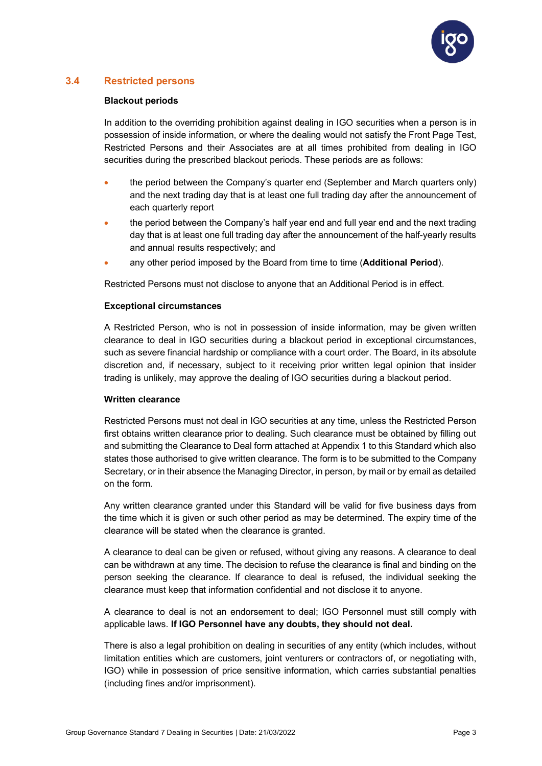

## <span id="page-4-0"></span>**3.4 Restricted persons**

#### **Blackout periods**

In addition to the overriding prohibition against dealing in IGO securities when a person is in possession of inside information, or where the dealing would not satisfy the Front Page Test, Restricted Persons and their Associates are at all times prohibited from dealing in IGO securities during the prescribed blackout periods. These periods are as follows:

- the period between the Company's quarter end (September and March quarters only) and the next trading day that is at least one full trading day after the announcement of each quarterly report
- the period between the Company's half year end and full year end and the next trading day that is at least one full trading day after the announcement of the half-yearly results and annual results respectively; and
- any other period imposed by the Board from time to time (**Additional Period**).

Restricted Persons must not disclose to anyone that an Additional Period is in effect.

#### **Exceptional circumstances**

A Restricted Person, who is not in possession of inside information, may be given written clearance to deal in IGO securities during a blackout period in exceptional circumstances, such as severe financial hardship or compliance with a court order. The Board, in its absolute discretion and, if necessary, subject to it receiving prior written legal opinion that insider trading is unlikely, may approve the dealing of IGO securities during a blackout period.

#### **Written clearance**

Restricted Persons must not deal in IGO securities at any time, unless the Restricted Person first obtains written clearance prior to dealing. Such clearance must be obtained by filling out and submitting the Clearance to Deal form attached at Appendix 1 to this Standard which also states those authorised to give written clearance. The form is to be submitted to the Company Secretary, or in their absence the Managing Director, in person, by mail or by email as detailed on the form.

Any written clearance granted under this Standard will be valid for five business days from the time which it is given or such other period as may be determined. The expiry time of the clearance will be stated when the clearance is granted.

A clearance to deal can be given or refused, without giving any reasons. A clearance to deal can be withdrawn at any time. The decision to refuse the clearance is final and binding on the person seeking the clearance. If clearance to deal is refused, the individual seeking the clearance must keep that information confidential and not disclose it to anyone.

A clearance to deal is not an endorsement to deal; IGO Personnel must still comply with applicable laws. **If IGO Personnel have any doubts, they should not deal.**

There is also a legal prohibition on dealing in securities of any entity (which includes, without limitation entities which are customers, joint venturers or contractors of, or negotiating with, IGO) while in possession of price sensitive information, which carries substantial penalties (including fines and/or imprisonment).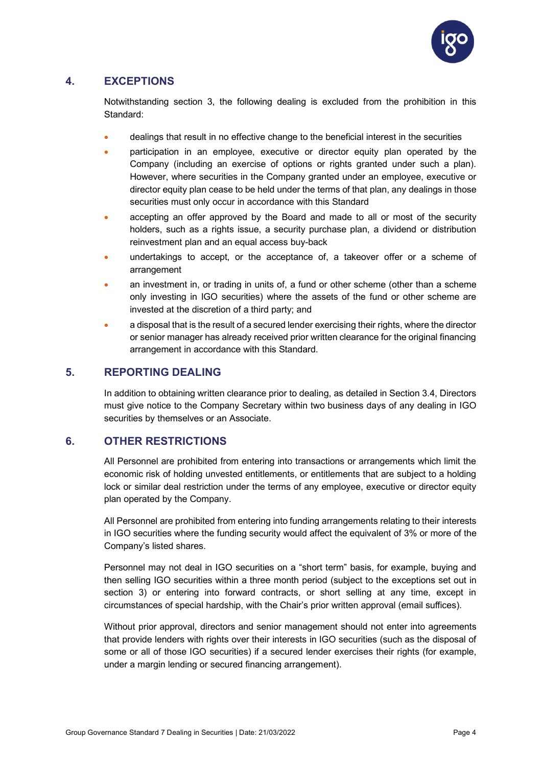

# <span id="page-5-0"></span>**4. EXCEPTIONS**

Notwithstanding section 3, the following dealing is excluded from the prohibition in this Standard:

- dealings that result in no effective change to the beneficial interest in the securities
- participation in an employee, executive or director equity plan operated by the Company (including an exercise of options or rights granted under such a plan). However, where securities in the Company granted under an employee, executive or director equity plan cease to be held under the terms of that plan, any dealings in those securities must only occur in accordance with this Standard
- accepting an offer approved by the Board and made to all or most of the security holders, such as a rights issue, a security purchase plan, a dividend or distribution reinvestment plan and an equal access buy-back
- undertakings to accept, or the acceptance of, a takeover offer or a scheme of arrangement
- an investment in, or trading in units of, a fund or other scheme (other than a scheme only investing in IGO securities) where the assets of the fund or other scheme are invested at the discretion of a third party; and
- a disposal that is the result of a secured lender exercising their rights, where the director or senior manager has already received prior written clearance for the original financing arrangement in accordance with this Standard.

# <span id="page-5-1"></span>**5. REPORTING DEALING**

In addition to obtaining written clearance prior to dealing, as detailed in Section 3.4, Directors must give notice to the Company Secretary within two business days of any dealing in IGO securities by themselves or an Associate.

## <span id="page-5-2"></span>**6. OTHER RESTRICTIONS**

All Personnel are prohibited from entering into transactions or arrangements which limit the economic risk of holding unvested entitlements, or entitlements that are subject to a holding lock or similar deal restriction under the terms of any employee, executive or director equity plan operated by the Company.

All Personnel are prohibited from entering into funding arrangements relating to their interests in IGO securities where the funding security would affect the equivalent of 3% or more of the Company's listed shares.

Personnel may not deal in IGO securities on a "short term" basis, for example, buying and then selling IGO securities within a three month period (subject to the exceptions set out in section 3) or entering into forward contracts, or short selling at any time, except in circumstances of special hardship, with the Chair's prior written approval (email suffices).

Without prior approval, directors and senior management should not enter into agreements that provide lenders with rights over their interests in IGO securities (such as the disposal of some or all of those IGO securities) if a secured lender exercises their rights (for example, under a margin lending or secured financing arrangement).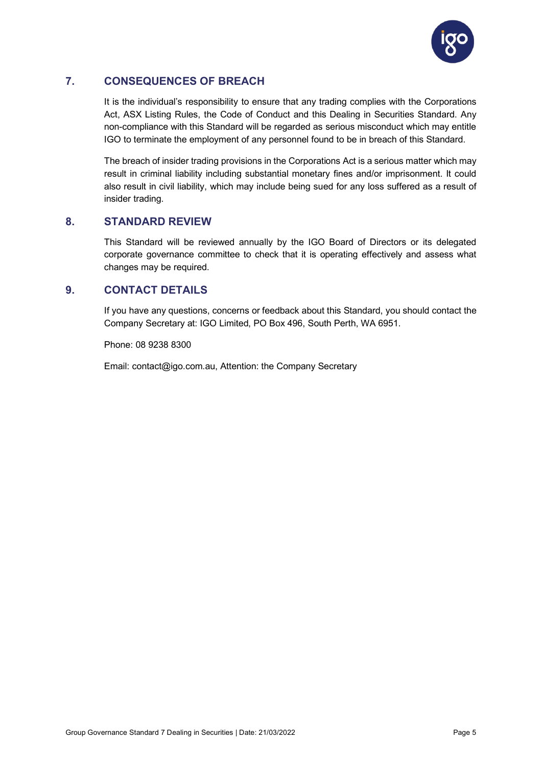

# <span id="page-6-0"></span>**7. CONSEQUENCES OF BREACH**

It is the individual's responsibility to ensure that any trading complies with the Corporations Act, ASX Listing Rules, the Code of Conduct and this Dealing in Securities Standard. Any non-compliance with this Standard will be regarded as serious misconduct which may entitle IGO to terminate the employment of any personnel found to be in breach of this Standard.

The breach of insider trading provisions in the Corporations Act is a serious matter which may result in criminal liability including substantial monetary fines and/or imprisonment. It could also result in civil liability, which may include being sued for any loss suffered as a result of insider trading.

## <span id="page-6-1"></span>**8. STANDARD REVIEW**

This Standard will be reviewed annually by the IGO Board of Directors or its delegated corporate governance committee to check that it is operating effectively and assess what changes may be required.

# <span id="page-6-2"></span>**9. CONTACT DETAILS**

If you have any questions, concerns or feedback about this Standard, you should contact the Company Secretary at: IGO Limited, PO Box 496, South Perth, WA 6951.

Phone: 08 9238 8300

Email: contact@igo.com.au, Attention: the Company Secretary